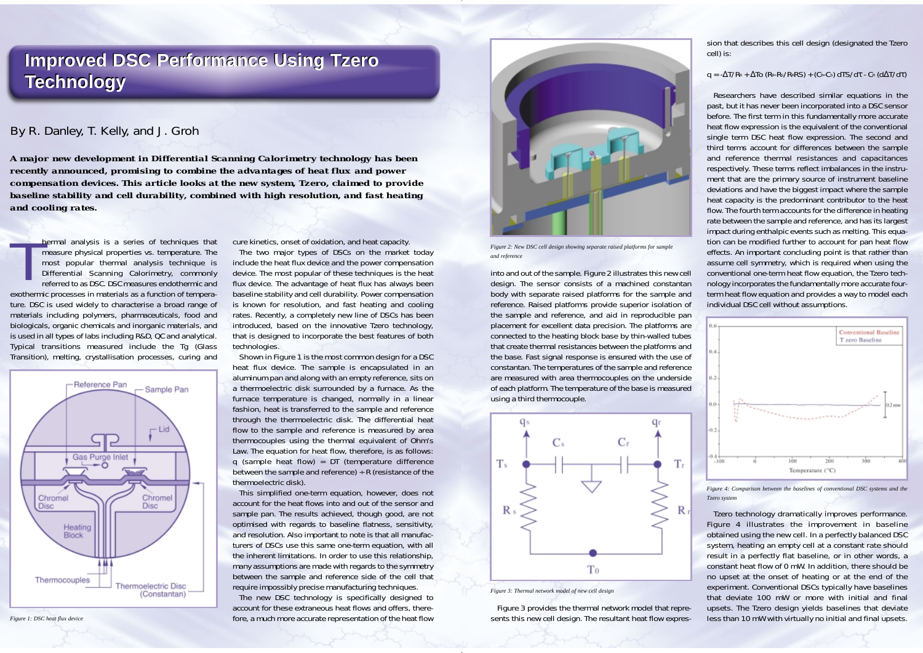## *By R. Danley, T. Kelly, and J. Groh*

*A major new development in Differential Scanning Calorimetry technology has been recently announced, promising to combine the advantages of heat flux and power compensation devices. This article looks at the new system, Tzero, claimed to provide baseline stability and cell durability, combined with high resolution, and fast heating and cooling rates.* 

hermal analysis is a series of techniques that<br>measure physical properties vs. temperature. The<br>most popular thermal analysis technique is<br>Differential Scanning Calorimetry, commonly<br>referred to as DSC. DSC measures endoth exothermic processes in materials as a function of temperature. DSC is used widely to characterise a broad range of materials including polymers, pharmaceuticals, food and biologicals, organic chemicals and inorganic materials, and is used in all types of labs including R&D, QC and analytical. Typical transitions measured include the Tg (Glass Transition), melting, crystallisation processes, curing and



cure kinetics, onset of oxidation, and heat capacity.

The two major types of DSCs on the market today include the heat flux device and the power compensation device. The most popular of these techniques is the heat flux device. The advantage of heat flux has always been baseline stability and cell durability. Power compensation is known for resolution, and fast heating and cooling rates. Recently, a completely new line of DSCs has been introduced, based on the innovative Tzero technology, that is designed to incorporate the best features of both technologies.

Shown in Figure 1 is the most common design for a DSC heat flux device. The sample is encapsulated in an aluminum pan and along with an empty reference, sits on a thermoelectric disk surrounded by a furnace. As the furnace temperature is changed, normally in a linear fashion, heat is transferred to the sample and reference through the thermoelectric disk. The differential heat flow to the sample and reference is measured by area thermocouples using the thermal equivalent of Ohm's Law. The equation for heat flow, therefore, is as follows: q (sample heat flow) = DT (temperature difference between the sample and reference)  $\div R$  (resistance of the thermoelectric disk).

This simplified one-term equation, however, does not account for the heat flows into and out of the sensor and sample pan. The results achieved, though good, are not optimised with regards to baseline flatness, sensitivity, and resolution. Also important to note is that all manufacturers of DSCs use this same one-term equation, with all the inherent limitations. In order to use this relationship, many assumptions are made with regards to the symmetry between the sample and reference side of the cell that require impossibly precise manufacturing techniques.

into and out of the sample. Figure 2 illustrates this new cell design. The sensor consists of a machined constantan body with separate raised platforms for the sample and reference. Raised platforms provide superior isolation of the sample and reference, and aid in reproducible pan placement for excellent data precision. The platforms are connected to the heating block base by thin-walled tubes that create thermal resistances between the platforms and the base. Fast signal response is ensured with the use of constantan. The temperatures of the sample and reference are measured with area thermocouples on the underside of each platform. The temperature of the base is measured using a third thermocouple.

Figure 3 provides the thermal network model that represents this new cell design. The resultant heat flow expres-

sion that describes this cell design (designated the Tzero cell) is:

## q = -∆T/RR <sup>+</sup> ∆To (RR-RS/RRRS) + (CR-CS) d TS/d<sup>τ</sup> - CR (d ∆T/dτ)

The new DSC technology is specifically designed to account for these extraneous heat flows and offers, therefore, a much more accurate representation of the heat flow *Figure 1: DSC heat flux device* less than 10 mW with virtually no initial and final upsets.

Researchers have described similar equations in the past, but it has never been incorporated into a DSC sensor before. The first term in this fundamentally more accurate heat flow expression is the equivalent of the conventional single term DSC heat flow expression. The second and third terms account for differences between the sample and reference thermal resistances and capacitances respectively. These terms reflect imbalances in the instrument that are the primary source of instrument baseline deviations and have the biggest impact where the sample heat capacity is the predominant contributor to the heat flow. The fourth term accounts for the difference in heating rate between the sample and reference, and has its largest impact during enthalpic events such as melting. This equation can be modified further to account for pan heat flow effects. An important concluding point is that rather than assume cell symmetry, which is required when using the conventional one-term heat flow equation, the Tzero technology incorporates the fundamentally more accurate fourterm heat flow equation and provides a way to model each individual DSC cell without assumptions.



Tzero technology dramatically improves performance. Figure 4 illustrates the improvement in baseline obtained using the new cell. In a perfectly balanced DSC system, heating an empty cell at a constant rate should result in a perfectly flat baseline, or in other words, a constant heat flow of 0 mW. In addition, there should be no upset at the onset of heating or at the end of the experiment. Conventional DSCs typically have baselines that deviate 100 mW or more with initial and final upsets. The Tzero design yields baselines that deviate



*Figure 2: New DSC cell design showing separate raised platforms for sample and reference*



*Figure 3: Thermal network model of new cell design*

*Figure 4: Comparison between the baselines of conventional DSC systems and the Tzero system*